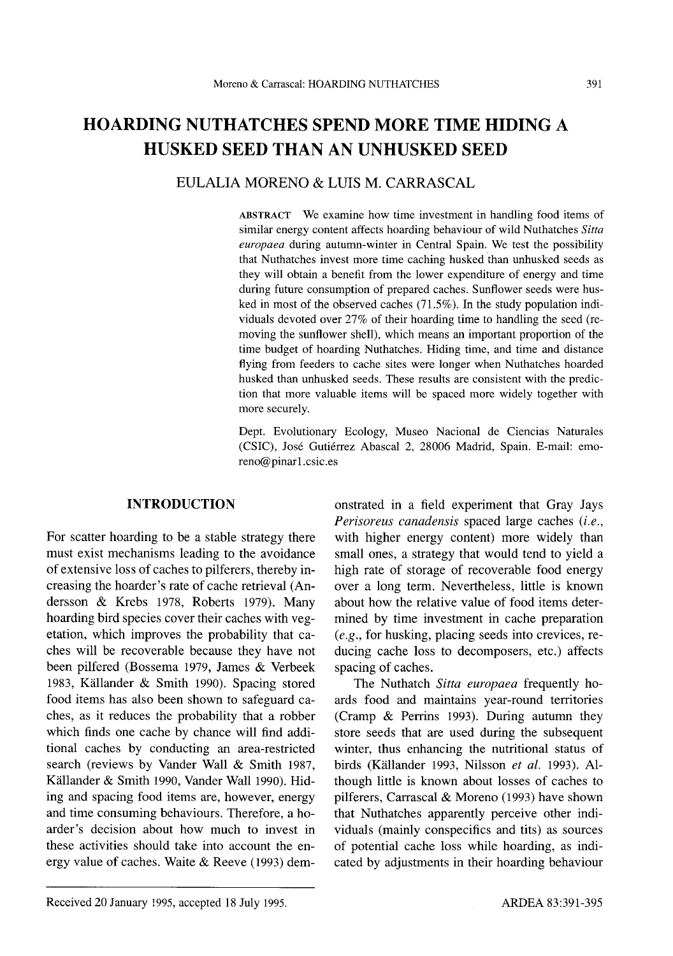# **HOARDING NUTHATCHES SPEND MORE TIME HIDING** A **HUSKED SEED THAN AN UNHUSKED SEED**

#### EULALIA MORENO & LUIS M. CARRASCAL

ABSTRACT We examine how time investment in handling food items of similar energy content affects hoarding behaviour of wild Nuthatches *Sitta europaea* during autumn-winter in Central Spain. We test the possibility that Nuthatches invest more time caching husked than unhusked seeds as they will obtain a benefit from the lower expenditure of energy and time during future consumption of prepared caches. Sunflower seeds were husked in most of the observed caches (71.5%). In the study population individuals devoted over 27% of their hoarding time to handling the seed (removing the sunflower shell), which means an important proportion of the time budget of hoarding Nuthatches. Hiding time, and time and distance flying from feeders to cache sites were longer when Nuthatches hoarded husked than unhusked seeds. These results are consistent with the prediction that more valuable items will be spaced more widely together with more securely.

Dept. Evolutionary Ecology, Museo Nacional de Ciencias Naturales (CSIC), Jose Gutierrez Abascal 2, 28006 Madrid, Spain. E-mail: emoreno@pinar1.csic.es

## **INTRODUCTION**

For scatter hoarding to be a stable strategy there must exist mechanisms leading to the avoidance of extensive loss of caches to pilferers, thereby increasing the hoarder's rate of cache retrieval (Andersson & Krebs 1978, Roberts 1979). Many hoarding bird species cover their caches with vegetation, which improves the probability that caches will be recoverable because they have not been pilfered (Bossema 1979, James & Verbeek 1983, Kallander & Smith 1990). Spacing stored food items has also been shown to safeguard caches, as it reduces the probability that a robber which finds one cache by chance will find additional caches by conducting an area-restricted search (reviews by Vander Wall & Smith 1987, Kallander & Smith 1990, Vander Wall 1990). Hiding and spacing food items are, however, energy and time consuming behaviours. Therefore, a hoarder's decision about how much to invest in these activities should take into account the energy value of caches. Waite & Reeve (1993) demonstrated in a field experiment that Gray Jays *Perisoreus canadensis* spaced large caches *(i.e.,* with higher energy content) more widely than small ones, a strategy that would tend to yield a high rate of storage of recoverable food energy over a long term. Nevertheless, little is known about how the relative value of food items determined by time investment in cache preparation (e.g., for husking, placing seeds into crevices, reducing cache loss to decomposers, etc.) affects spacing of caches.

The Nuthatch *Sitta europaea* frequently hoards food and maintains year-round territories (Cramp & Perrins 1993). During autumn they store seeds that are used during the subsequent winter, thus enhancing the nutritional status of birds (Källander 1993, Nilsson et al. 1993). Although little is known about losses of caches to pilferers, Carrascal & Moreno (1993) have shown that Nuthatches apparently perceive other individuals (mainly conspecifics and tits) as sources of potential cache loss while hoarding, as indicated by adjustments in their hoarding behaviour

Received 20 January 1995, accepted 18 July 1995.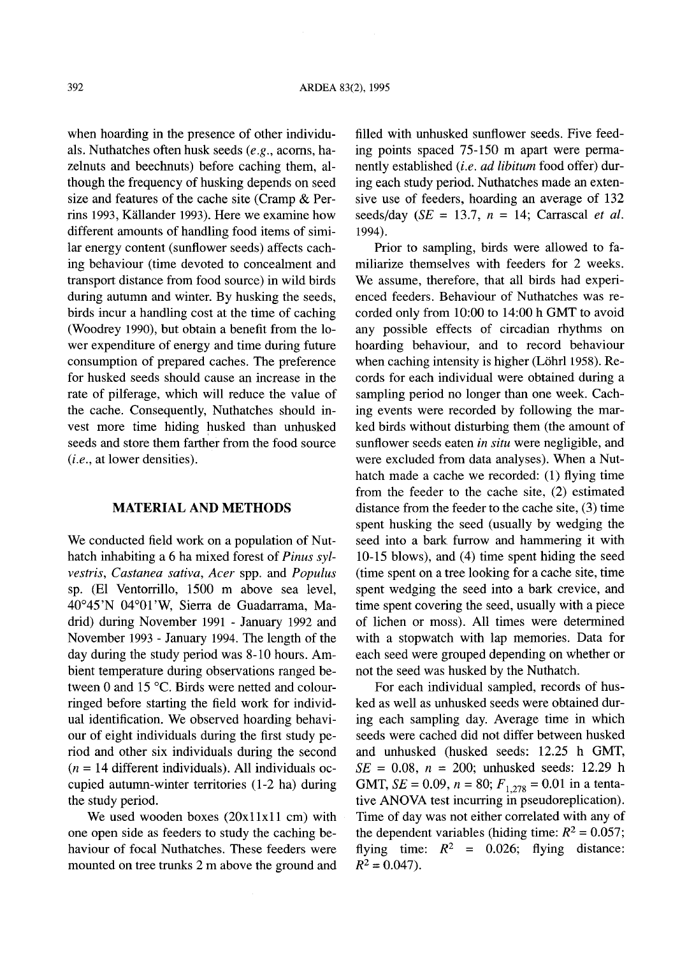when hoarding in the presence of other individuals. Nuthatches often husk seeds (e.g., acorns, hazelnuts and beechnuts) before caching them, although the frequency of husking depends on seed size and features of the cache site (Cramp & Perrins 1993, Kiillander 1993). Here we examine how different amounts of handling food items of similar energy content (sunflower seeds) affects caching behaviour (time devoted to concealment and transport distance from food source) in wild birds during autumn and winter. By husking the seeds, birds incur a handling cost at the time of caching (Woodrey 1990), but obtain a benefit from the lower expenditure of energy and time during future consumption of prepared caches. The preference for husked seeds should cause an increase in the rate of pilferage, which will reduce the value of the cache. Consequently, Nuthatches should invest more time hiding husked than unhusked seeds and store them farther from the food source *(i.e.,* at lower densities).

#### **MATERIAL** AND **METHODS**

We conducted field work on a population of Nuthatch inhabiting a 6 ha mixed forest of *Pinus sylvestris, Castanea sativa, Acer* spp. and *Populus* sp. (El Ventorrillo, 1500 m above sea level, 40°45'N 04°01'W, Sierra de Guadarrama, Madrid) during November 1991 - January 1992 and November 1993 - January 1994. The length of the day during the study period was 8-10 hours. Ambient temperature during observations ranged between 0 and 15°C. Birds were netted and colourringed before starting the field work for individual identification. We observed hoarding behaviour of eight individuals during the first study period and other six individuals during the second  $(n = 14$  different individuals). All individuals occupied autumn-winter territories (1-2 ha) during the study period.

We used wooden boxes  $(20x11x11$  cm) with one open side as feeders to study the caching behaviour of focal Nuthatches. These feeders were mounted on tree trunks 2 m above the ground and filled with unhusked sunflower seeds. Five feeding points spaced 75-150 m apart were permanently established *(i.e. ad libitum* food offer) during each study period. Nuthatches made an extensive use of feeders, hoarding an average of 132 seeds/day  $(SE = 13.7, n = 14$ ; Carrascal *et al.* 1994).

Prior to sampling, birds were allowed to familiarize themselves with feeders for 2 weeks. We assume, therefore, that all birds had experienced feeders. Behaviour of Nuthatches was recorded only from 10:00 to 14:00 h GMT to avoid any possible effects of circadian rhythms on hoarding behaviour, and to record behaviour when caching intensity is higher (Löhrl 1958). Records for each individual were obtained during a sampling period no longer than one week. Caching events were recorded by following the marked birds without disturbing them (the amount of sunflower seeds eaten *in situ* were negligible, and were excluded from data analyses). When a Nuthatch made a cache we recorded: (1) flying time from the feeder to the cache site, (2) estimated distance from the feeder to the cache site, (3) time spent husking the seed (usually by wedging the seed into a bark furrow and hammering it with 10-15 blows), and (4) time spent hiding the seed (time spent on a tree looking for a cache site, time spent wedging the seed into a bark crevice, and time spent covering the seed, usually with a piece of lichen or moss). All times were determined with a stopwatch with lap memories. Data for each seed were grouped depending on whether or not the seed was husked by the Nuthatch.

For each individual sampled, records of husked as well as unhusked seeds were obtained during each sampling day. Average time in which seeds were cached did not differ between husked and unhusked (husked seeds: 12.25 h GMT,  $SE = 0.08$ ,  $n = 200$ ; unhusked seeds: 12.29 h GMT,  $SE = 0.09$ ,  $n = 80$ ;  $F_{1,278} = 0.01$  in a tentative ANOVA test incurring in pseudoreplication). Time of day was not either correlated with any of the dependent variables (hiding time:  $R^2 = 0.057$ ; flying time:  $R^2 = 0.026$ ; flying distance:  $R^2 = 0.047$ .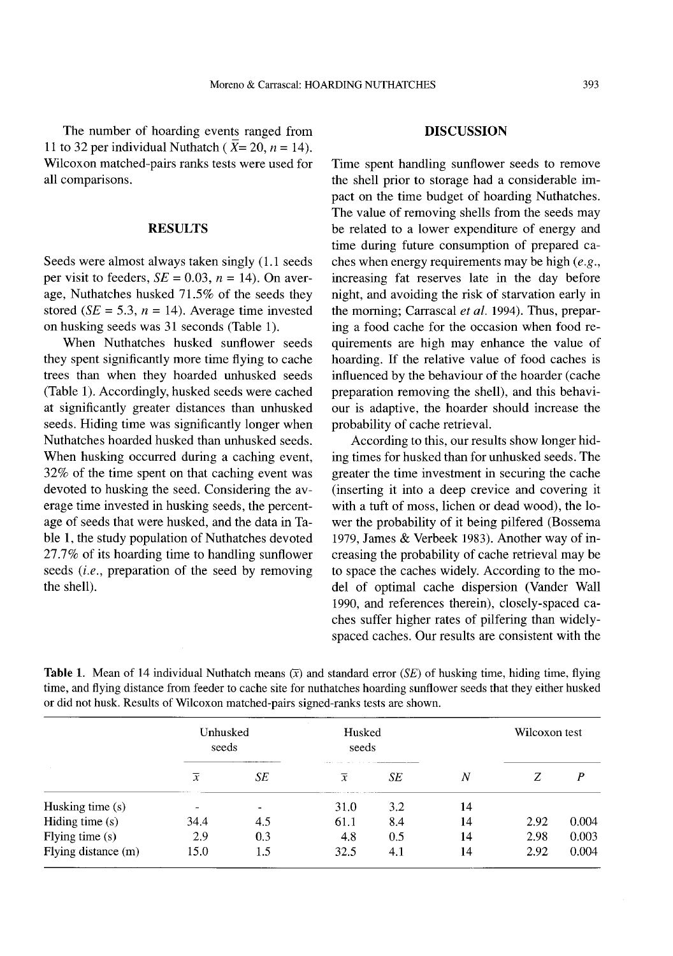The number of hoarding events ranged from 11 to 32 per individual Nuthatch ( $\overline{X}$ = 20, *n* = 14). Wilcoxon matched-pairs ranks tests were used for all comparisons.

#### **RESULTS**

Seeds were almost always taken singly (1.1 seeds per visit to feeders,  $SE = 0.03$ ,  $n = 14$ ). On average, Nuthatches husked 71.5% of the seeds they stored *(SE* = 5.3,  $n = 14$ ). Average time invested on husking seeds was 31 seconds (Table 1).

When Nuthatches husked sunflower seeds they spent significantly more time flying to cache trees than when they hoarded unhusked seeds (Table 1). Accordingly, husked seeds were cached at significantly greater distances than unhusked seeds. Hiding time was significantly longer when Nuthatches hoarded husked than unhusked seeds. When husking occurred during a caching event, 32% of the time spent on that caching event was devoted to husking the seed. Considering the average time invested in husking seeds, the percentage of seeds that were husked, and the data in Table 1, the study population of Nuthatches devoted 27.7% of its hoarding time to handling sunflower seeds *(i.e.*, preparation of the seed by removing the shell).

#### **DISCUSSION**

Time spent handling sunflower seeds to remove the shell prior to storage had a considerable impact on the time budget of hoarding Nuthatches. The value of removing shells from the seeds may be related to a lower expenditure of energy and time during future consumption of prepared caches when energy requirements may be high  $(e.g.,)$ increasing fat reserves late in the day before night, and avoiding the risk of starvation early in the morning; Carrascal *et al.* 1994). Thus, preparing a food cache for the occasion when food requirements are high may enhance the value of hoarding. If the relative value of food caches is influenced by the behaviour of the hoarder (cache preparation removing the shell), and this behaviour is adaptive, the hoarder should increase the probability of cache retrieval.

According to this, our results show longer hiding times for husked than for unhusked seeds. The greater the time investment in securing the cache (inserting it into a deep crevice and covering it with a tuft of moss, lichen or dead wood), the lower the probability of it being pilfered (Bossema 1979, James & Verbeek 1983). Another way of increasing the probability of cache retrieval may be to space the caches widely. According to the model of optimal cache dispersion (Vander Wall 1990, and references therein), closely-spaced caches suffer higher rates of pilfering than widelyspaced caches. Our results are consistent with the

|                     | Unhusked<br>seeds        |                          | Husked<br>seeds |     |    | Wilcoxon test |       |
|---------------------|--------------------------|--------------------------|-----------------|-----|----|---------------|-------|
|                     | $\overline{x}$           | __________<br>SE         | $\overline{x}$  | SЕ  | N  | Ζ             | P     |
| Husking time (s)    | $\overline{\phantom{0}}$ | $\overline{\phantom{0}}$ | 31.0            | 3.2 | 14 |               |       |
| Hiding time $(s)$   | 34.4                     | 4.5                      | 61.1            | 8.4 | 14 | 2.92          | 0.004 |
| Flying time $(s)$   | 2.9                      | 0.3                      | 4.8             | 0.5 | 14 | 2.98          | 0.003 |
| Flying distance (m) | 15.0                     | 1.5                      | 32.5            | 4.1 | 14 | 2.92          | 0.004 |

**Table 1.** Mean of 14 individual Nuthatch means  $(\bar{x})$  and standard error *(SE)* of husking time, hiding time, flying time, and flying distance from feeder to cache site for nuthatches hoarding sunflower seeds that they either husked or did not husk. Results of Wilcoxon matched-pairs signed-ranks tests are shown.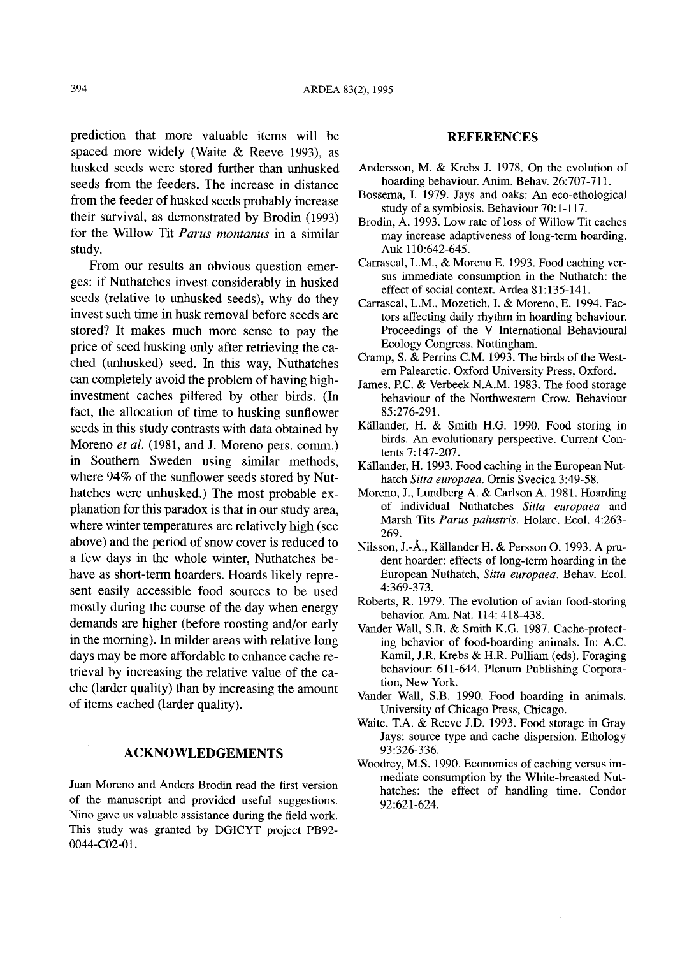prediction that more valuable items will be spaced more widely (Waite & Reeve 1993), as husked seeds were stored further than unhusked seeds from the feeders. The increase in distance from the feeder of husked seeds probably increase their survival, as demonstrated by Brodin (1993) for the Willow Tit *Parus montanus* in a similar study.

From our results an obvious question emerges: if Nuthatches invest considerably in husked seeds (relative to unhusked seeds), why do they invest such time in husk removal before seeds are stored? It makes much more sense to pay the price of seed husking only after retrieving the cached (unhusked) seed. In this way, Nuthatches can completely avoid the problem of having highinvestment caches pilfered by other birds. (In fact, the allocation of time to husking sunflower seeds in this study contrasts with data obtained by Moreno *et ai.* (1981, and J. Moreno pers. comm.) in Southern Sweden using similar methods, where 94% of the sunflower seeds stored by Nuthatches were unhusked.) The most probable explanation for this paradox is that in our study area, where winter temperatures are relatively high (see above) and the period of snow cover is reduced to a few days in the whole winter, Nuthatches behave as short-term hoarders. Hoards likely represent easily accessible food sources to be used mostly during the course of the day when energy demands are higher (before roosting and/or early in the morning). In milder areas with relative long days may be more affordable to enhance cache retrieval by increasing the relative value of the cache (larder quality) than by increasing the amount of items cached (larder quality).

### **ACKNOWLEDGEMENTS**

Juan Moreno and Anders Brodin read the first version of the manuscript and provided useful suggestions. Nino gave us valuable assistance during the field work. This study was granted by DGICYT project PB92- 0044-C02-01.

#### **REFERENCES**

- Andersson, M. & Krebs J. 1978. On the evolution of hoarding behaviour. Anim. Behav. 26:707-711.
- Bossema, I. 1979. Jays and oaks: An eco-ethological study of a symbiosis. Behaviour 70:1-117.
- Brodin, A. 1993. Low rate of loss of Willow Tit caches may increase adaptiveness of long-term hoarding. Auk 110:642-645.
- Carrascal, L.M., & Moreno E. 1993. Food caching versus immediate consumption in the Nuthatch: the effect of social context. Ardea 81:135-141.
- Carrascal, L.M., Mozetich, I. & Moreno, E. 1994. Factors affecting daily rhythm in hoarding behaviour. Proceedings of the V International Behavioural Ecology Congress. Nottingham.
- Cramp, S. & Perrins C.M. 1993. The birds of the Western Palearctic. Oxford University Press, Oxford.
- James, P.C. & Verbeek N.A.M. 1983. The food storage behaviour of the Northwestern Crow. Behaviour 85:276-291.
- Kallander, H. & Smith H.G. 1990. Food storing in birds. An evolutionary perspective. Current Contents 7:147-207.
- Källander, H. 1993. Food caching in the European Nuthatch *Sitta europaea.* Omis Svecica 3:49-58.
- Moreno, J., Lundberg A. & Carlson A. 1981. Hoarding of individual Nuthatches *Sitta europaea* and Marsh Tits *Parus palustris.* Ho1arc. Ecol. 4:263- 269.
- Nilsson, J.-A., Kallander H. & Persson O. 1993. A prudent hoarder: effects of long-term hoarding in the European Nuthatch, *Sitta europaea.* Behav. Ecol. 4:369-373.
- Roberts, R. 1979. The evolution of avian food-storing behavior. Am. Nat. 114: 418-438.
- Vander Wall, S.B. & Smith K.G. 1987. Cache-protecting behavior of food-hoarding animals. In: A.C. Kami1, J.R. Krebs & H.R. Pulliam (eds). Foraging behaviour: 611-644. Plenum Publishing Corporation, New York.
- Vander Wall, S.B. 1990. Food hoarding in animals. University of Chicago Press, Chicago.
- Waite, T.A. & Reeve J.D. 1993. Food storage in Gray Jays: source type and cache dispersion. Ethology 93:326-336.
- Woodrey, M.S. 1990. Economics of caching versus immediate consumption by the White-breasted Nuthatches: the effect of handling time. Condor 92:621-624.